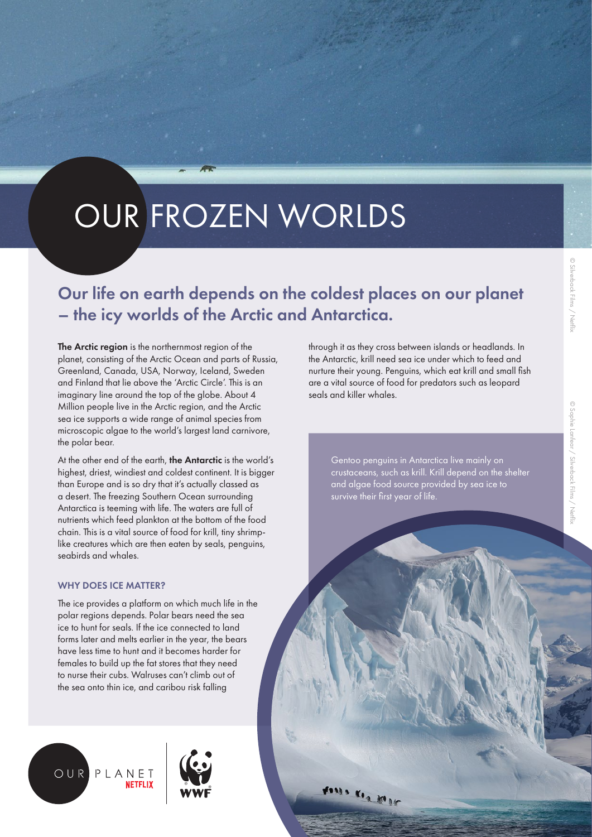# © Silverback Films / Netfli: © Silverback Films / Netflix

# OUR FROZEN WORLDS

# Our life on earth depends on the coldest places on our planet – the icy worlds of the Arctic and Antarctica.

The Arctic region is the northernmost region of the planet, consisting of the Arctic Ocean and parts of Russia, Greenland, Canada, USA, Norway, Iceland, Sweden and Finland that lie above the 'Arctic Circle'. This is an imaginary line around the top of the globe. About 4 Million people live in the Arctic region, and the Arctic sea ice supports a wide range of animal species from microscopic algae to the world's largest land carnivore, the polar bear.

At the other end of the earth, the Antarctic is the world's highest, driest, windiest and coldest continent. It is bigger than Europe and is so dry that it's actually classed as a desert. The freezing Southern Ocean surrounding Antarctica is teeming with life. The waters are full of nutrients which feed plankton at the bottom of the food chain. This is a vital source of food for krill, tiny shrimplike creatures which are then eaten by seals, penguins, seabirds and whales.

#### WHY DOES ICF MATTER?

The ice provides a platform on which much life in the polar regions depends. Polar bears need the sea ice to hunt for seals. If the ice connected to land forms later and melts earlier in the year, the bears have less time to hunt and it becomes harder for females to build up the fat stores that they need to nurse their cubs. Walruses can't climb out of the sea onto thin ice, and caribou risk falling





through it as they cross between islands or headlands. In the Antarctic, krill need sea ice under which to feed and nurture their young. Penguins, which eat krill and small fish are a vital source of food for predators such as leopard seals and killer whales.

Gentoo penguins in Antarctica live mainly on crustaceans, such as krill. Krill depend on the shelter and algae food source provided by sea ice to survive their first year of life.

Assis Ken Mar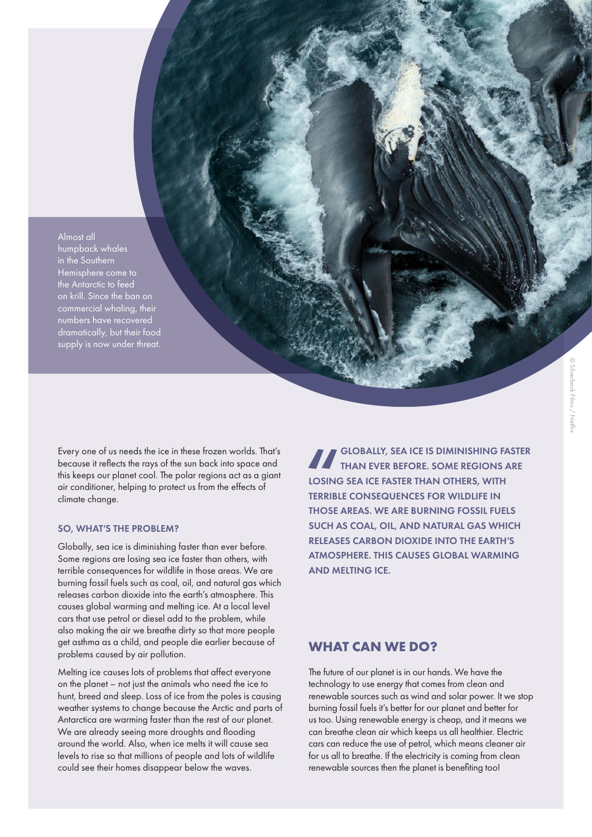Almost all humpback whales in the Southern Hemisphere come to the Antarctic to feed on krill. Since the ban on commercial whaling, their numbers have recovered dramatically, but their food supply is now under threat.

Every one of us needs the ice in these frozen worlds. That's because it reflects the rays of the sun back into space and this keeps our planet cool. The polar regions act as a giant air conditioner, helping to protect us from the effects of climate change.

#### SO, WHAT'S THE PROBLEM?

Globally, sea ice is diminishing faster than ever before. Some regions are losing sea ice faster than others, with terrible consequences for wildlife in those areas. We are burning fossil fuels such as coal, oil, and natural gas which releases carbon dioxide into the earth's atmosphere. This causes global warming and melting ice. At a local level cars that use petrol or diesel add to the problem, while also making the air we breathe dirty so that more people get asthma as a child, and people die earlier because of problems caused by air pollution.

Melting ice causes lots of problems that affect everyone on the planet – not just the animals who need the ice to hunt, breed and sleep. Loss of ice from the poles is causing weather systems to change because the Arctic and parts of Antarctica are warming faster than the rest of our planet. We are already seeing more droughts and flooding around the world. Also, when ice melts it will cause sea levels to rise so that millions of people and lots of wildlife could see their homes disappear below the waves.

TERRIBI GLOBALLY, SEA ICE IS DIMINISHING FASTER THAN EVER BEFORE. SOME REGIONS ARE LOSING SEA ICE FASTER THAN OTHERS, WITH TERRIBLE CONSEQUENCES FOR WILDLIFE IN THOSE AREAS. WE ARE BURNING FOSSIL FUELS SUCH AS COAL, OIL, AND NATURAL GAS WHICH RELEASES CARBON DIOXIDE INTO THE EARTH'S ATMOSPHERE. THIS CAUSES GLOBAL WARMING AND MELTING ICE.

#### **WHAT CAN WE DO?**

The future of our planet is in our hands. We have the technology to use energy that comes from clean and renewable sources such as wind and solar power. It we stop burning fossil fuels it's better for our planet and better for us too. Using renewable energy is cheap, and it means we can breathe clean air which keeps us all healthier. Electric cars can reduce the use of petrol, which means cleaner air for us all to breathe. If the electricity is coming from clean renewable sources then the planet is benefiting too!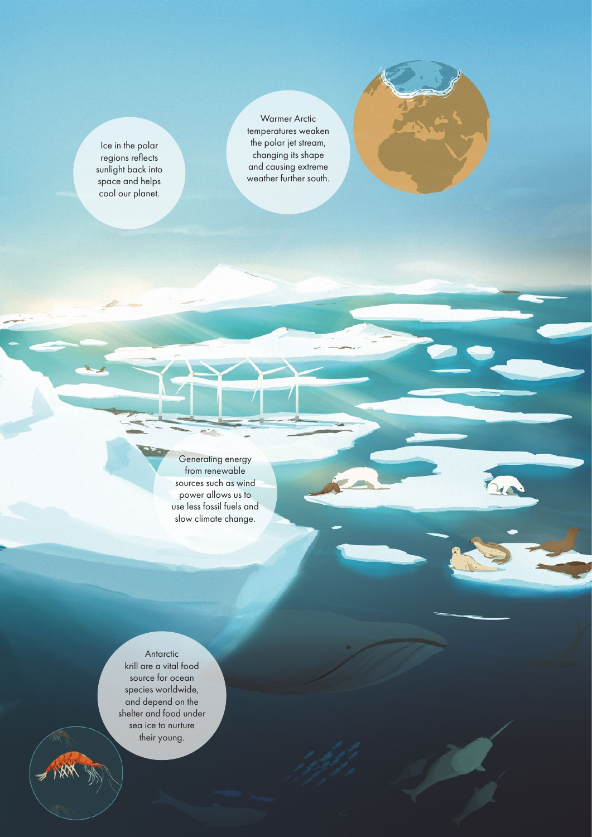Ice in the polar regions reflects sunlight back into space and helps cool our planet.

Warmer Arctic temperatures weaken the polar jet stream, changing its shape and causing extreme weather further south.



Generating energy from renewable sources such as wind power allows us to use less fossil fuels and slow climate change.

Antarctic krill are a vital food source for ocean species worldwide, and depend on the shelter and food under sea ice to nurture their young.

HAM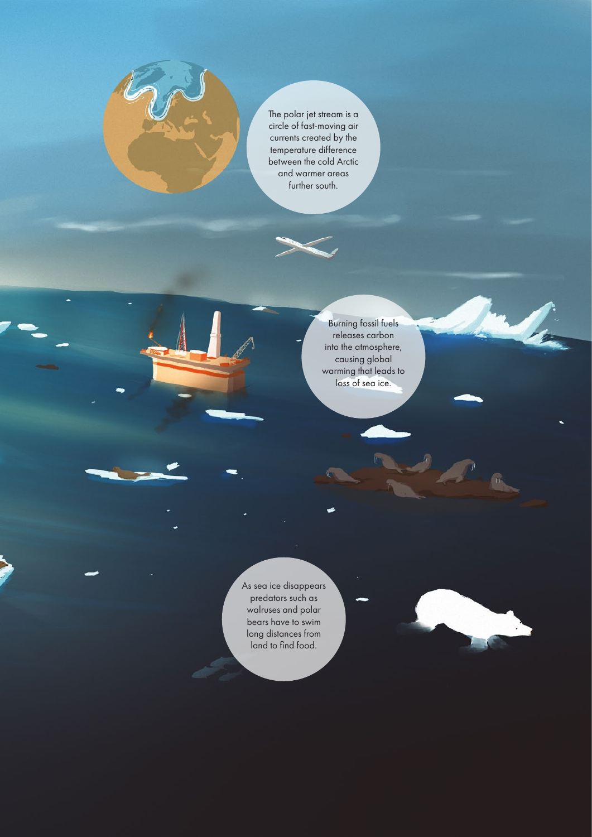The polar jet stream is a circle of fast-moving air currents created by the temperature difference between the cold Arctic and warmer areas further south.

> Burning fossil fuels releases carbon into the atmosphere, causing global warming that leads to loss of sea ice.

As sea ice disappears predators such as walruses and polar bears have to swim long distances from land to find food.



 $\sqrt{n}$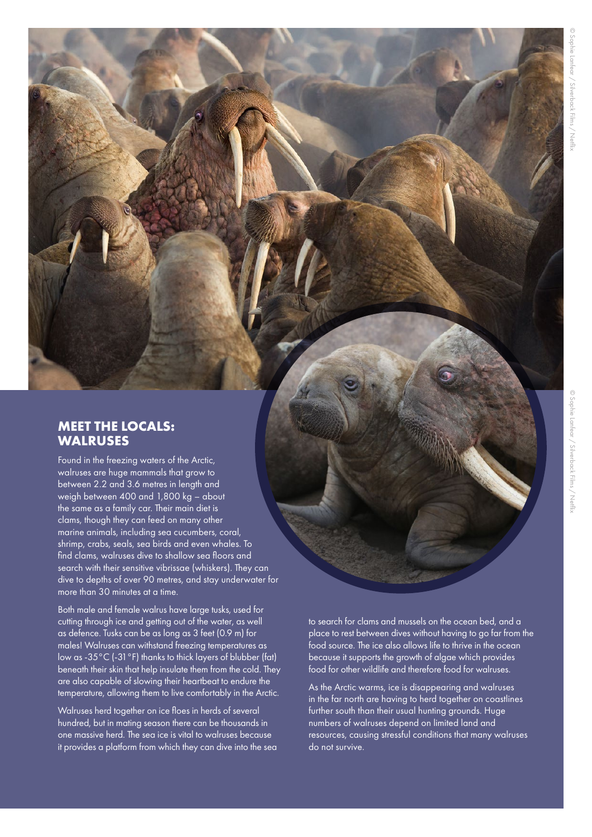### **MEET THE LOCALS: WALRUSES**

Found in the freezing waters of the Arctic, walruses are huge mammals that grow to between 2.2 and 3.6 metres in length and weigh between 400 and 1,800 kg – about the same as a family car. Their main diet is clams, though they can feed on many other marine animals, including sea cucumbers, coral, shrimp, crabs, seals, sea birds and even whales. To find clams, walruses dive to shallow sea floors and search with their sensitive vibrissae (whiskers). They can dive to depths of over 90 metres, and stay underwater for more than 30 minutes at a time.

Both male and female walrus have large tusks, used for cutting through ice and getting out of the water, as well as defence. Tusks can be as long as 3 feet (0.9 m) for males! Walruses can withstand freezing temperatures as low as -35°C (-31°F) thanks to thick layers of blubber (fat) beneath their skin that help insulate them from the cold. They are also capable of slowing their heartbeat to endure the temperature, allowing them to live comfortably in the Arctic.

Walruses herd together on ice floes in herds of several hundred, but in mating season there can be thousands in one massive herd. The sea ice is vital to walruses because it provides a platform from which they can dive into the sea to search for clams and mussels on the ocean bed, and a place to rest between dives without having to go far from the food source. The ice also allows life to thrive in the ocean because it supports the growth of algae which provides food for other wildlife and therefore food for walruses.

As the Arctic warms, ice is disappearing and walruses in the far north are having to herd together on coastlines further south than their usual hunting grounds. Huge numbers of walruses depend on limited land and resources, causing stressful conditions that many walruses do not survive.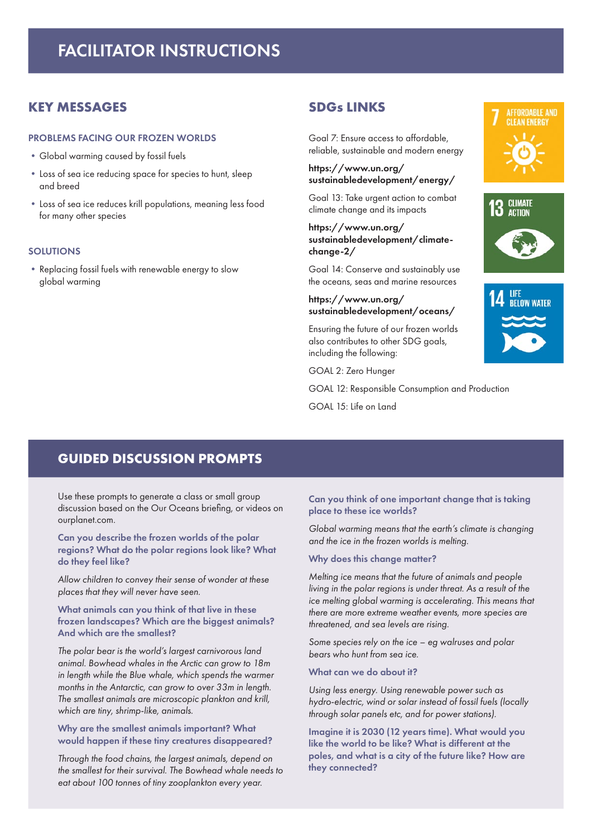# FACILITATOR INSTRUCTIONS

#### **KEY MESSAGES**

#### PROBLEMS FACING OUR FROZEN WORLDS

- **•**Global warming caused by fossil fuels
- **•**Loss of sea ice reducing space for species to hunt, sleep and breed
- **•**Loss of sea ice reduces krill populations, meaning less food for many other species

#### SOLUTIONS

**•**Replacing fossil fuels with renewable energy to slow global warming

#### **SDGs LINKS**

Goal 7: Ensure access to affordable, reliable, sustainable and modern energy

#### https://www.un.org/ sustainabledevelopment/energy/

Goal 13: Take urgent action to combat climate change and its impacts

#### https://www.un.org/ sustainabledevelopment/climatechange-2/

Goal 14: Conserve and sustainably use the oceans, seas and marine resources

#### https://www.un.org/ sustainabledevelopment/oceans/

Ensuring the future of our frozen worlds also contributes to other SDG goals, including the following:

GOAL 2: Zero Hunger

GOAL 12: Responsible Consumption and Production

GOAL 15: Life on Land

## **GUIDED DISCUSSION PROMPTS**

Use these prompts to generate a class or small group discussion based on the Our Oceans briefing, or videos on ourplanet.com.

Can you describe the frozen worlds of the polar regions? What do the polar regions look like? What do they feel like?

*Allow children to convey their sense of wonder at these places that they will never have seen.*

What animals can you think of that live in these frozen landscapes? Which are the biggest animals? And which are the smallest?

*The polar bear is the world's largest carnivorous land animal. Bowhead whales in the Arctic can grow to 18m in length while the Blue whale, which spends the warmer months in the Antarctic, can grow to over 33m in length. The smallest animals are microscopic plankton and krill, which are tiny, shrimp-like, animals.* 

#### Why are the smallest animals important? What would happen if these tiny creatures disappeared?

*Through the food chains, the largest animals, depend on the smallest for their survival. The Bowhead whale needs to eat about 100 tonnes of tiny zooplankton every year.*

Can you think of one important change that is taking place to these ice worlds?

*Global warming means that the earth's climate is changing and the ice in the frozen worlds is melting.*

#### Why does this change matter?

*Melting ice means that the future of animals and people living in the polar regions is under threat. As a result of the ice melting global warming is accelerating. This means that there are more extreme weather events, more species are threatened, and sea levels are rising.*

*Some species rely on the ice – eg walruses and polar bears who hunt from sea ice.*

What can we do about it?

*Using less energy. Using renewable power such as hydro-electric, wind or solar instead of fossil fuels (locally through solar panels etc, and for power stations).*

Imagine it is 2030 (12 years time). What would you like the world to be like? What is different at the poles, and what is a city of the future like? How are they connected?